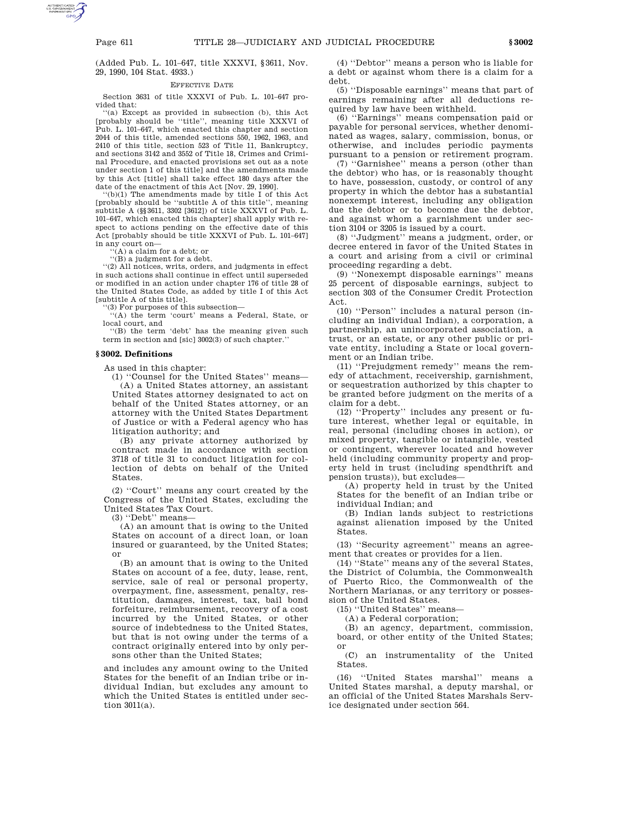# Page 611 TITLE 28—JUDICIARY AND JUDICIAL PROCEDURE **§ 3002**

(Added Pub. L. 101–647, title XXXVI, §3611, Nov. 29, 1990, 104 Stat. 4933.)

# EFFECTIVE DATE

Section 3631 of title XXXVI of Pub. L. 101–647 provided that:

''(a) Except as provided in subsection (b), this Act [probably should be ''title'', meaning title XXXVI of Pub. L. 101–647, which enacted this chapter and section 2044 of this title, amended sections 550, 1962, 1963, and 2410 of this title, section 523 of Title 11, Bankruptcy, and sections 3142 and 3552 of Title 18, Crimes and Criminal Procedure, and enacted provisions set out as a note under section 1 of this title] and the amendments made by this Act [title] shall take effect 180 days after the date of the enactment of this Act [Nov. 29, 1990].

''(b)(1) The amendments made by title I of this Act [probably should be ''subtitle A of this title'', meaning subtitle A (§§3611, 3302 [3612]) of title XXXVI of Pub. L. 101–647, which enacted this chapter] shall apply with respect to actions pending on the effective date of this Act [probably should be title XXXVI of Pub. L. 101–647] in any court on—

''(A) a claim for a debt; or

''(B) a judgment for a debt.

''(2) All notices, writs, orders, and judgments in effect in such actions shall continue in effect until superseded or modified in an action under chapter 176 of title 28 of the United States Code, as added by title I of this Act [subtitle A of this title].

'(3) For purposes of this subsection—

''(A) the term 'court' means a Federal, State, or local court, and

''(B) the term 'debt' has the meaning given such term in section and [sic] 3002(3) of such chapter.''

### **§ 3002. Definitions**

As used in this chapter:

(1) ''Counsel for the United States'' means— (A) a United States attorney, an assistant United States attorney designated to act on behalf of the United States attorney, or an attorney with the United States Department of Justice or with a Federal agency who has litigation authority; and

(B) any private attorney authorized by contract made in accordance with section 3718 of title 31 to conduct litigation for collection of debts on behalf of the United States.

(2) ''Court'' means any court created by the Congress of the United States, excluding the United States Tax Court.

(3) ''Debt'' means—

(A) an amount that is owing to the United States on account of a direct loan, or loan insured or guaranteed, by the United States; or

(B) an amount that is owing to the United States on account of a fee, duty, lease, rent, service, sale of real or personal property, overpayment, fine, assessment, penalty, restitution, damages, interest, tax, bail bond forfeiture, reimbursement, recovery of a cost incurred by the United States, or other source of indebtedness to the United States, but that is not owing under the terms of a contract originally entered into by only persons other than the United States;

and includes any amount owing to the United States for the benefit of an Indian tribe or individual Indian, but excludes any amount to which the United States is entitled under section 3011(a).

(4) ''Debtor'' means a person who is liable for a debt or against whom there is a claim for a debt.

(5) ''Disposable earnings'' means that part of earnings remaining after all deductions required by law have been withheld.

(6) ''Earnings'' means compensation paid or payable for personal services, whether denominated as wages, salary, commission, bonus, or otherwise, and includes periodic payments pursuant to a pension or retirement program.

(7) ''Garnishee'' means a person (other than the debtor) who has, or is reasonably thought to have, possession, custody, or control of any property in which the debtor has a substantial nonexempt interest, including any obligation due the debtor or to become due the debtor, and against whom a garnishment under section 3104 or 3205 is issued by a court.

(8) ''Judgment'' means a judgment, order, or decree entered in favor of the United States in a court and arising from a civil or criminal proceeding regarding a debt.

(9) ''Nonexempt disposable earnings'' means 25 percent of disposable earnings, subject to section 303 of the Consumer Credit Protection Act.

(10) ''Person'' includes a natural person (including an individual Indian), a corporation, a partnership, an unincorporated association, a trust, or an estate, or any other public or private entity, including a State or local government or an Indian tribe.

(11) ''Prejudgment remedy'' means the remedy of attachment, receivership, garnishment, or sequestration authorized by this chapter to be granted before judgment on the merits of a claim for a debt.

(12) ''Property'' includes any present or future interest, whether legal or equitable, in real, personal (including choses in action), or mixed property, tangible or intangible, vested or contingent, wherever located and however held (including community property and property held in trust (including spendthrift and pension trusts)), but excludes—

(A) property held in trust by the United States for the benefit of an Indian tribe or individual Indian; and

(B) Indian lands subject to restrictions against alienation imposed by the United States.

(13) ''Security agreement'' means an agreement that creates or provides for a lien.

(14) ''State'' means any of the several States, the District of Columbia, the Commonwealth of Puerto Rico, the Commonwealth of the Northern Marianas, or any territory or possession of the United States.

(15) ''United States'' means—

(A) a Federal corporation;

(B) an agency, department, commission, board, or other entity of the United States; or

(C) an instrumentality of the United States.

(16) ''United States marshal'' means a United States marshal, a deputy marshal, or an official of the United States Marshals Service designated under section 564.